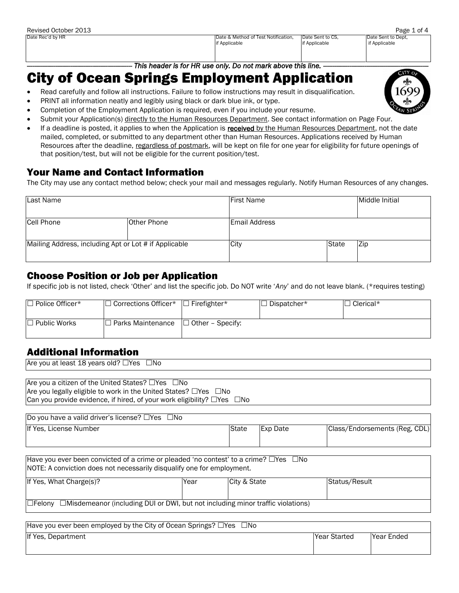Date Rec'd by HR Date & Method of Test Notification, if Applicable Date Sent to CS, if Applicable

Date Sent to Dept, if Applicable

This header is for HR use only. Do not mark above this line. ————————————————————

# City of Ocean Springs Employment Application

- Read carefully and follow all instructions. Failure to follow instructions may result in disqualification.
- PRINT all information neatly and legibly using black or dark blue ink, or type.
- Completion of the Employment Application is required, even if you include your resume.
- Submit your Application(s) directly to the Human Resources Department. See contact information on Page Four.
- If a deadline is posted, it applies to when the Application is received by the Human Resources Department, not the date mailed, completed, or submitted to any department other than Human Resources. Applications received by Human Resources after the deadline, regardless of postmark, will be kept on file for one year for eligibility for future openings of that position/test, but will not be eligible for the current position/test.

### Your Name and Contact Information

The City may use any contact method below; check your mail and messages regularly. Notify Human Resources of any changes.

| Last Name                                             |                    | <b>First Name</b>    |       | Middle Initial |
|-------------------------------------------------------|--------------------|----------------------|-------|----------------|
| Cell Phone                                            | <b>Other Phone</b> | <b>Email Address</b> |       |                |
| Mailing Address, including Apt or Lot # if Applicable |                    | City                 | State | Zip            |

#### Choose Position or Job per Application

If specific job is not listed, check 'Other' and list the specific job. Do NOT write '*Any*' and do not leave blank. (\*requires testing)

| □ Police Officer*   | $\Box$ Corrections Officer* | $\Box$<br>l Firefighter* | J Dispatcher* | $\Box$ Clerical* |
|---------------------|-----------------------------|--------------------------|---------------|------------------|
|                     |                             |                          |               |                  |
| $\Box$ Public Works | J Parks Maintenance         | $\Box$ Other – Specify:  |               |                  |
|                     |                             |                          |               |                  |

## Additional Information

| Are you at least 18 years old? $\Box$ Yes $\Box$ No                         |
|-----------------------------------------------------------------------------|
|                                                                             |
| Are you a citizen of the United States? $\Box$ Yes $\Box$ No                |
| Are you legally eligible to work in the United States? $\Box$ Yes $\Box$ No |

Can you provide evidence, if hired, of your work eligibility?  $\Box$  Yes  $\Box$  No

| Do you have a valid driver's license? $\Box$ Yes $\Box$ No |              |          |                               |
|------------------------------------------------------------|--------------|----------|-------------------------------|
| If Yes, License Number                                     | <b>State</b> | Exp Date | Class/Endorsements (Reg, CDL) |

| Have you ever been convicted of a crime or pleaded 'no contest' to a crime? $\Box$ Yes $\Box$ No<br>NOTE: A conviction does not necessarily disqualify one for employment. |      |              |               |
|----------------------------------------------------------------------------------------------------------------------------------------------------------------------------|------|--------------|---------------|
| If Yes, What Charge(s)?                                                                                                                                                    | Year | City & State | Status/Result |
|                                                                                                                                                                            |      |              |               |
| $\Box$ Felony $\Box$ Misdemeanor (including DUI or DWI, but not including minor traffic violations)                                                                        |      |              |               |

| Have you ever been employed by the City of Ocean Springs? $\Box$ Yes $\Box$ No |                      |             |
|--------------------------------------------------------------------------------|----------------------|-------------|
| If Yes, Department                                                             | <b>IYear Started</b> | lYear Ended |
|                                                                                |                      |             |

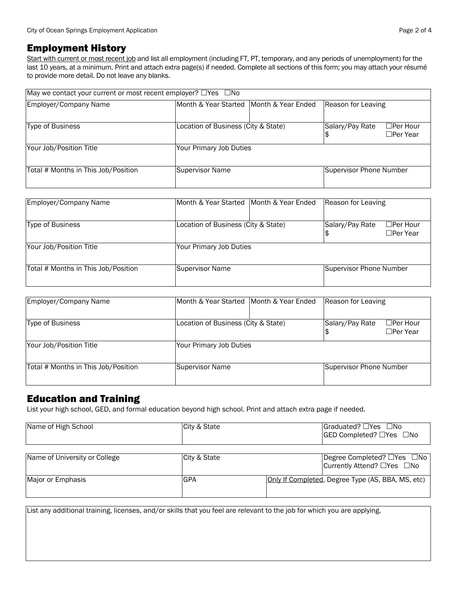#### Employment History

Start with current or most recent job and list all employment (including FT, PT, temporary, and any periods of unemployment) for the last 10 years, at a minimum. Print and attach extra page(s) if needed. Complete all sections of this form; you may attach your résumé to provide more detail. Do not leave any blanks.

| May we contact your current or most recent employer? □ Yes □ No |                                           |                                                       |
|-----------------------------------------------------------------|-------------------------------------------|-------------------------------------------------------|
| Employer/Company Name                                           | IMonth & Year Started IMonth & Year Ended | Reason for Leaving                                    |
| <b>Type of Business</b>                                         | Location of Business (City & State)       | Salary/Pay Rate<br>$\Box$ Per Hour<br>$\Box$ Per Year |
| Your Job/Position Title                                         | Your Primary Job Duties                   |                                                       |
| Total # Months in This Job/Position                             | Supervisor Name                           | Supervisor Phone Number                               |

| Employer/Company Name               | Month & Year Started Month & Year Ended | Reason for Leaving      |                                    |
|-------------------------------------|-----------------------------------------|-------------------------|------------------------------------|
| Type of Business                    | Location of Business (City & State)     | Salary/Pay Rate         | $\Box$ Per Hour<br>$\Box$ Per Year |
| Your Job/Position Title             | Your Primary Job Duties                 |                         |                                    |
| Total # Months in This Job/Position | Supervisor Name                         | Supervisor Phone Number |                                    |

| Employer/Company Name               | Month & Year Started Month & Year Ended | Reason for Leaving      |                                    |
|-------------------------------------|-----------------------------------------|-------------------------|------------------------------------|
| Type of Business                    | Location of Business (City & State)     | Salary/Pay Rate         | $\Box$ Per Hour<br>$\Box$ Per Year |
| Your Job/Position Title             | Your Primary Job Duties                 |                         |                                    |
| Total # Months in This Job/Position | Supervisor Name                         | Supervisor Phone Number |                                    |

#### Education and Training

List your high school, GED, and formal education beyond high school. Print and attach extra page if needed.

| Name of High School           | City & State | $Graduated? \square Yes \square No$<br>GED Completed? □Yes □No |
|-------------------------------|--------------|----------------------------------------------------------------|
| Name of University or College | City & State | Degree Completed? □Yes □No<br>Currently Attend? □Yes □No       |
| Major or Emphasis             | <b>GPA</b>   | Only If Completed, Degree Type (AS, BBA, MS, etc)              |

List any additional training, licenses, and/or skills that you feel are relevant to the job for which you are applying.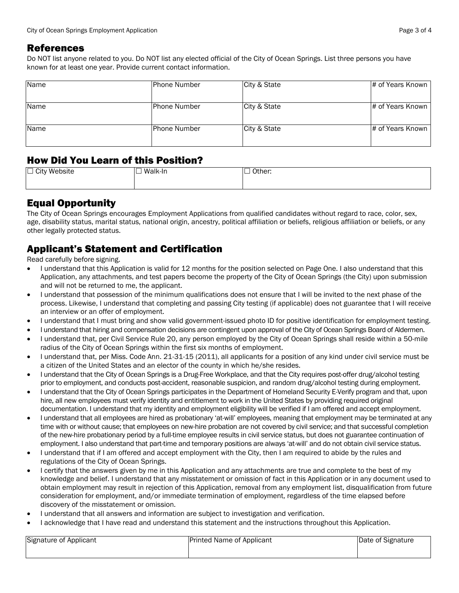#### References

Do NOT list anyone related to you. Do NOT list any elected official of the City of Ocean Springs. List three persons you have known for at least one year. Provide current contact information.

| Name | IPhone Number | City & State | # of Years Known |
|------|---------------|--------------|------------------|
|      |               |              |                  |
| Name | lPhone Number | City & State | # of Years Known |
|      |               |              |                  |
| Name | lPhone Number | City & State | # of Years Known |
|      |               |              |                  |

### How Did You Learn of this Position?

| $\Box$<br>.<br>$\Box$ City $\lq$<br>∴Website<br>. | Walk-In<br>– | _<br>Other: |
|---------------------------------------------------|--------------|-------------|
|                                                   |              |             |

# Equal Opportunity

The City of Ocean Springs encourages Employment Applications from qualified candidates without regard to race, color, sex, age, disability status, marital status, national origin, ancestry, political affiliation or beliefs, religious affiliation or beliefs, or any other legally protected status.

# Applicant's Statement and Certification

Read carefully before signing.

- I understand that this Application is valid for 12 months for the position selected on Page One. I also understand that this Application, any attachments, and test papers become the property of the City of Ocean Springs (the City) upon submission and will not be returned to me, the applicant.
- I understand that possession of the minimum qualifications does not ensure that I will be invited to the next phase of the process. Likewise, I understand that completing and passing City testing (if applicable) does not guarantee that I will receive an interview or an offer of employment.
- I understand that I must bring and show valid government-issued photo ID for positive identification for employment testing.
- I understand that hiring and compensation decisions are contingent upon approval of the City of Ocean Springs Board of Aldermen.
- I understand that, per Civil Service Rule 20, any person employed by the City of Ocean Springs shall reside within a 50-mile radius of the City of Ocean Springs within the first six months of employment.
- I understand that, per Miss. Code Ann. 21-31-15 (2011), all applicants for a position of any kind under civil service must be a citizen of the United States and an elector of the county in which he/she resides.
- I understand that the City of Ocean Springs is a Drug-Free Workplace, and that the City requires post-offer drug/alcohol testing prior to employment, and conducts post-accident, reasonable suspicion, and random drug/alcohol testing during employment.
- I understand that the City of Ocean Springs participates in the Department of Homeland Security E-Verify program and that, upon hire, all new employees must verify identity and entitlement to work in the United States by providing required original documentation. I understand that my identity and employment eligibility will be verified if I am offered and accept employment.
- I understand that all employees are hired as probationary 'at-will' employees, meaning that employment may be terminated at any time with or without cause; that employees on new-hire probation are not covered by civil service; and that successful completion of the new-hire probationary period by a full-time employee results in civil service status, but does not guarantee continuation of employment. I also understand that part-time and temporary positions are always 'at-will' and do not obtain civil service status.
- I understand that if I am offered and accept employment with the City, then I am required to abide by the rules and regulations of the City of Ocean Springs.
- I certify that the answers given by me in this Application and any attachments are true and complete to the best of my knowledge and belief. I understand that any misstatement or omission of fact in this Application or in any document used to obtain employment may result in rejection of this Application, removal from any employment list, disqualification from future consideration for employment, and/or immediate termination of employment, regardless of the time elapsed before discovery of the misstatement or omission.
- I understand that all answers and information are subject to investigation and verification.
- I acknowledge that I have read and understand this statement and the instructions throughout this Application.

| Signature of Applicant | <b>Printed Name of Applicant</b> | Date of Signature |
|------------------------|----------------------------------|-------------------|
|                        |                                  |                   |
|                        |                                  |                   |
|                        |                                  |                   |
|                        |                                  |                   |